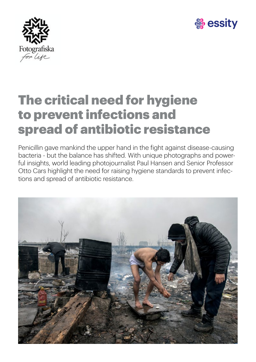



### The critical need for hygiene to prevent infections and spread of antibiotic resistance

Penicillin gave mankind the upper hand in the fight against disease-causing bacteria - but the balance has shifted. With unique photographs and powerful insights, world leading photojournalist Paul Hansen and Senior Professor Otto Cars highlight the need for raising hygiene standards to prevent infections and spread of antibiotic resistance.

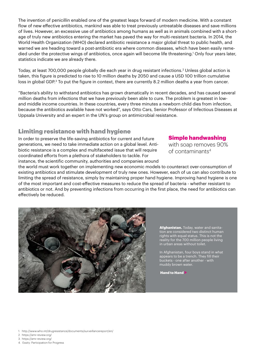The invention of penicillin enabled one of the greatest leaps forward of modern medicine. With a constant flow of new effective antibiotics, mankind was able to treat previously untreatable diseases and save millions of lives. However, an excessive use of antibiotics among humans as well as in animals combined with a shortage of truly new antibiotics entering the market has paved the way for multi-resistant bacteria. In 2014, the World Health Organization (WHO) declared antibiotic resistance a major global threat to public health, and warned we are heading toward a post-antibiotic era where common diseases, which have been easily remedied under the protective wings of antibiotics, once again will become life threatening.1 Only four years later, statistics indicate we are already there.

Today, at least 700,000 people globally die each year in drug resistant infections.<sup>2</sup> Unless global action is taken, this figure is predicted to rise to 10 million deaths by 2050 and cause a USD 100 trillion cumulative loss in global GDP.<sup>3</sup> To put the figure in context, there are currently 8.2 million deaths a year from cancer.

"Bacteria's ability to withstand antibiotics has grown dramatically in recent decades, and has caused several million deaths from infections that we have previously been able to cure. The problem is greatest in lowand middle income countries. In these countries, every three minutes a newborn child dies from infection, because the antibiotics available have not worked", says Otto Cars, Senior Professor of Infectious Diseases at Uppsala University and an expert in the UN's group on antimicrobial resistance.

#### Limiting resistance with hand hygiene

In order to preserve the life-saving antibiotics for current and future generations, we need to take immediate action on a global level. Antibiotic resistance is a complex and multifaceted issue that will require coordinated efforts from a plethora of stakeholders to tackle. For instance, the scientific community, authorities and companies around

#### Simple handwashing

with soap removes 90% of contaminants4

the world must work together on implementing new economic models to counteract over-consumption of existing antibiotics and stimulate development of truly new ones. However, each of us can also contribute to limiting the spread of resistance, simply by maintaining proper hand hygiene. Improving hand hygiene is one of the most important and cost-effective measures to reduce the spread of bacteria - whether resistant to antibiotics or not. And by preventing infections from occurring in the first place, the need for antibiotics can effectively be reduced.



Afghanistan. Today, water and sanitation are considered two distinct human rights with equal status. This is not the reality for the 700 million people living in urban areas without toilet.

In Afghanistan, four boys stand in what appears to be a trench. They fill their buckets - one after another - with muddy brown water.

Hand to Hand >

1. http://www.who.int/drugresistance/documents/surveillancereport/en/

- 2. https://amr-review.org/
- 3. https://amr-review.org/

4. Essity: Participation for Progress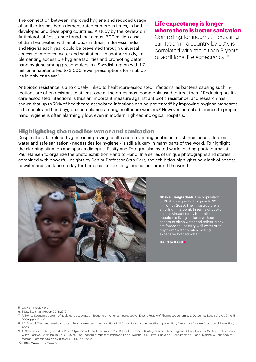The connection between improved hygiene and reduced usage of antibiotics has been demonstrated numerous times, in both developed and developing countries. A study by the Review on Antimicrobial Resistance found that almost 300 million cases of diarrhea treated with antibiotics in Brazil, Indonesia, India and Nigeria each year could be prevented through universal access to improved water and sanitation.<sup>5</sup> In another study, implementing accessible hygiene facilities and promoting better hand hygiene among preschoolers in a Swedish region with 1.7 million inhabitants led to 3,000 fewer prescriptions for antibiotics in only one year.6

#### Life expectancy is longer where there is better sanitation

Controlling for income, increasing sanitation in a country by 50% is correlated with more than 9 years of additional life expectancy. 10

Antibiotic resistance is also closely linked to healthcare-associated infections, as bacteria causing such infections are often resistant to at least one of the drugs most commonly used to treat them.7 Reducing healthcare-associated infections is thus an important measure against antibiotic resistance, and research has shown that up to 70% of healthcare-associated infections can be prevented<sup>8</sup> by improving hygiene standards in hospitals and hand hygiene compliance among healthcare workers.<sup>9</sup> However, actual adherence to proper hand hygiene is often alarmingly low, even in modern high-technological hospitals.

#### Highlighting the need for water and sanitation

Despite the vital role of hygiene in improving health and preventing antibiotic resistance, access to clean water and safe sanitation - necessities for hygiene - is still a luxury in many parts of the world. To highlight the alarming situation and spark a dialogue, Essity and Fotografiska invited world leading photojournalist Paul Hansen to organize the photo exhibition Hand to Hand. In a series of unique photographs and stories combined with powerful insights by Senior Professor Otto Cars, the exhibition highlights how lack of access to water and sanitation today further escalates existing inequalities around the world.



**Dhaka, Bangladesh.** The population of Dhaka is expected to grow to 20 million by 2020. The infrastructure is a ticking time bomb in terms of public health. Already today four million people are living in slums without access to clean water and toilets. Many are forced to use dirty well water or to buy from "water pirates" selling expensive bottled water.

Hand to Hand >

5. www.amr-review.org

- 6. Essity Essentials Report 2018/2019
- 7. P. Stone, 'Economic burden of healthcare-associated infections: an American perspective', Expert Review of Pharmacoeconomics & Outcomes Research, vol. 9, no. 5, 2009, pp. 417–422.
- 8. RD. Scott II, The direct medical costs of healthcare-associated infections in U.S. hospitals and the benefits of prevention. Centers for Disease Control and Prevention 2009

9. A. Stewardson, B. Allegranzi & D. Pittet, 'Dynamics of Hand Transmission', in D. Pittet, J. Boyce & B. Allegranzi ed., Hand Hygiene: A Handbook for Medical Professionals, Wiley-Blackwell, 2017, pp. 18-27; N. Graves, 'The Economic Impact of Improved Hand Hygiene', in D. Pittet, J. Boyce & B. Allegranzi ed., Hand Hygiene: A Handbook for Medical Professionals, Wiley-Blackwell, 2017, pp. 285-293.

10. http://www.amr-review.org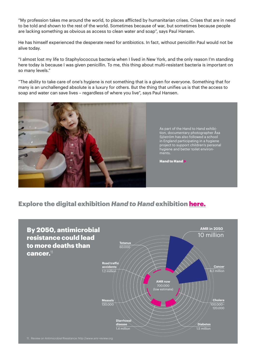"My profession takes me around the world, to places afflicted by humanitarian crises. Crises that are in need to be told and shown to the rest of the world. Sometimes because of war, but sometimes because people are lacking something as obvious as access to clean water and soap", says Paul Hansen.

He has himself experienced the desperate need for antibiotics. In fact, without penicillin Paul would not be alive today.

"I almost lost my life to Staphylococcus bacteria when I lived in New York, and the only reason I'm standing here today is because I was given penicillin. To me, this thing about multi-resistant bacteria is important on so many levels."

"The ability to take care of one's hygiene is not something that is a given for everyone. Something that for many is an unchallenged absolute is a luxury for others. But the thing that unifies us is that the access to soap and water can save lives – regardless of where you live", says Paul Hansen.



#### Explore the digital exhibition *Hand to Hand* exhibition here.